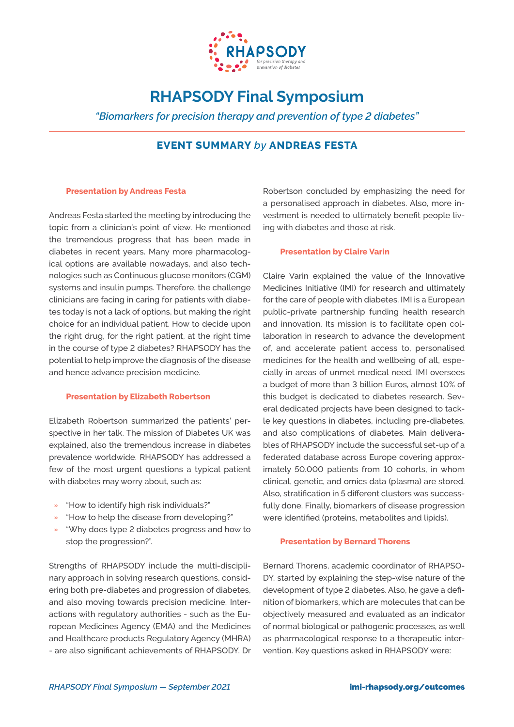

# **RHAPSODY Final Symposium**

*"Biomarkers for precision therapy and prevention of type 2 diabetes"*

# **EVENT SUMMARY** *by* **ANDREAS FESTA**

# **Presentation by Andreas Festa**

Andreas Festa started the meeting by introducing the topic from a clinician's point of view. He mentioned the tremendous progress that has been made in diabetes in recent years. Many more pharmacological options are available nowadays, and also technologies such as Continuous glucose monitors (CGM) systems and insulin pumps. Therefore, the challenge clinicians are facing in caring for patients with diabetes today is not a lack of options, but making the right choice for an individual patient. How to decide upon the right drug, for the right patient, at the right time in the course of type 2 diabetes? RHAPSODY has the potential to help improve the diagnosis of the disease and hence advance precision medicine.

#### **Presentation by Elizabeth Robertson**

Elizabeth Robertson summarized the patients' perspective in her talk. The mission of Diabetes UK was explained, also the tremendous increase in diabetes prevalence worldwide. RHAPSODY has addressed a few of the most urgent questions a typical patient with diabetes may worry about, such as:

- » "How to identify high risk individuals?"
- » "How to help the disease from developing?"
- » "Why does type 2 diabetes progress and how to stop the progression?".

Strengths of RHAPSODY include the multi-disciplinary approach in solving research questions, considering both pre-diabetes and progression of diabetes, and also moving towards precision medicine. Interactions with regulatory authorities - such as the European Medicines Agency (EMA) and the Medicines and Healthcare products Regulatory Agency (MHRA) - are also significant achievements of RHAPSODY. Dr

Robertson concluded by emphasizing the need for a personalised approach in diabetes. Also, more investment is needed to ultimately benefit people living with diabetes and those at risk.

# **Presentation by Claire Varin**

Claire Varin explained the value of the Innovative Medicines Initiative (IMI) for research and ultimately for the care of people with diabetes. IMI is a European public-private partnership funding health research and innovation. Its mission is to facilitate open collaboration in research to advance the development of, and accelerate patient access to, personalised medicines for the health and wellbeing of all, especially in areas of unmet medical need. IMI oversees a budget of more than 3 billion Euros, almost 10% of this budget is dedicated to diabetes research. Several dedicated projects have been designed to tackle key questions in diabetes, including pre-diabetes, and also complications of diabetes. Main deliverables of RHAPSODY include the successful set-up of a federated database across Europe covering approximately 50.000 patients from 10 cohorts, in whom clinical, genetic, and omics data (plasma) are stored. Also, stratification in 5 different clusters was successfully done. Finally, biomarkers of disease progression were identified (proteins, metabolites and lipids).

#### **Presentation by Bernard Thorens**

Bernard Thorens, academic coordinator of RHAPSO-DY, started by explaining the step-wise nature of the development of type 2 diabetes. Also, he gave a definition of biomarkers, which are molecules that can be objectively measured and evaluated as an indicator of normal biological or pathogenic processes, as well as pharmacological response to a therapeutic intervention. Key questions asked in RHAPSODY were: